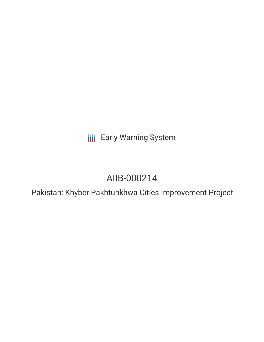**III** Early Warning System

# AIIB-000214

Pakistan: Khyber Pakhtunkhwa Cities Improvement Project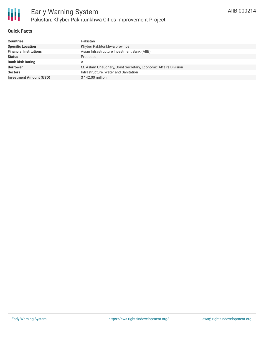#### **Quick Facts**

| <b>Countries</b>               | Pakistan                                                       |
|--------------------------------|----------------------------------------------------------------|
| <b>Specific Location</b>       | Khyber Pakhtunkhwa province                                    |
| <b>Financial Institutions</b>  | Asian Infrastructure Investment Bank (AIIB)                    |
| <b>Status</b>                  | Proposed                                                       |
| <b>Bank Risk Rating</b>        | Α                                                              |
| <b>Borrower</b>                | M. Aslam Chaudhary, Joint Secretary, Economic Affairs Division |
| <b>Sectors</b>                 | Infrastructure, Water and Sanitation                           |
| <b>Investment Amount (USD)</b> | $$142.00$ million                                              |
|                                |                                                                |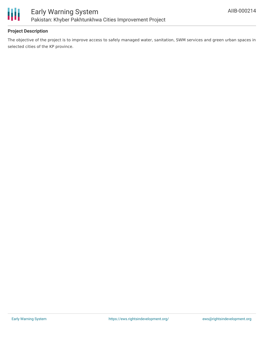

## **Project Description**

The objective of the project is to improve access to safely managed water, sanitation, SWM services and green urban spaces in selected cities of the KP province.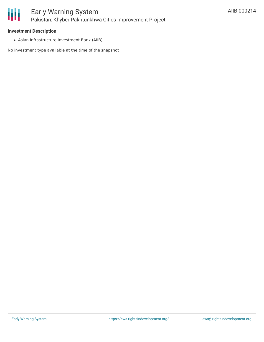#### **Investment Description**

Asian Infrastructure Investment Bank (AIIB)

No investment type available at the time of the snapshot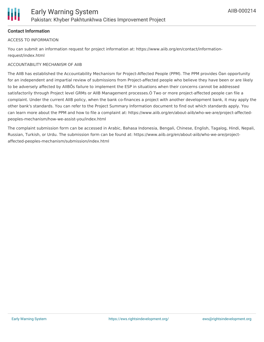

## **Contact Information**

#### ACCESS TO INFORMATION

You can submit an information request for project information at: https://www.aiib.org/en/contact/informationrequest/index.html

#### ACCOUNTABILITY MECHANISM OF AIIB

The AIIB has established the Accountability Mechanism for Project-Affected People (PPM). The PPM provides Òan opportunity for an independent and impartial review of submissions from Project-affected people who believe they have been or are likely to be adversely affected by AIIBÕs failure to implement the ESP in situations when their concerns cannot be addressed satisfactorily through Project level GRMs or AIIB Management processes.Ó Two or more project-affected people can file a complaint. Under the current AIIB policy, when the bank co-finances a project with another development bank, it may apply the other bank's standards. You can refer to the Project Summary Information document to find out which standards apply. You can learn more about the PPM and how to file a complaint at: https://www.aiib.org/en/about-aiib/who-we-are/project-affectedpeoples-mechanism/how-we-assist-you/index.html

The complaint submission form can be accessed in Arabic, Bahasa Indonesia, Bengali, Chinese, English, Tagalog, Hindi, Nepali, Russian, Turkish, or Urdu. The submission form can be found at: https://www.aiib.org/en/about-aiib/who-we-are/projectaffected-peoples-mechanism/submission/index.html